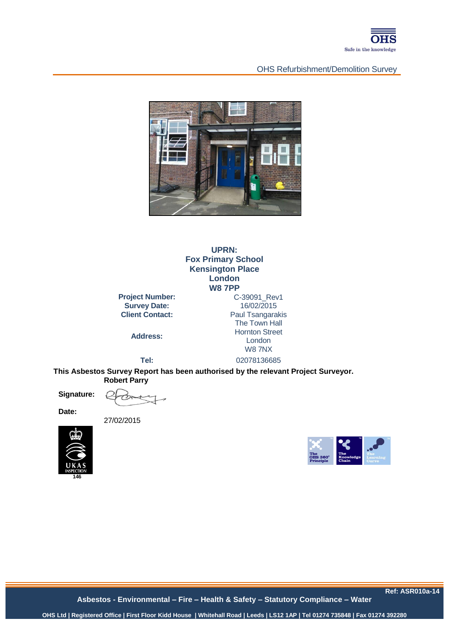

### OHS Refurbishment/Demolition Survey



**UPRN: Fox Primary School Kensington Place London W8 7PP**

**Project Number: Survey Date:** 16/02/2015<br>**Client Contact:** Paul Tsangara

**Address:**

**Paul Tsangarakis** The Town Hall Hornton Street London W8 7NX **Tel:** 02078136685

**This Asbestos Survey Report has been authorised by the relevant Project Surveyor. Robert Parry** 

**Signature:**

**Date:**

27/02/2015





**Ref: ASR010a-14**

**Asbestos - Environmental – Fire – Health & Safety – Statutory Compliance – Water**

ASR010-12a **OHS Ltd | Registered Office | First Floor Kidd House | Whitehall Road | Leeds | LS12 1AP | Tel 01274 735848 | Fax 01274 392280**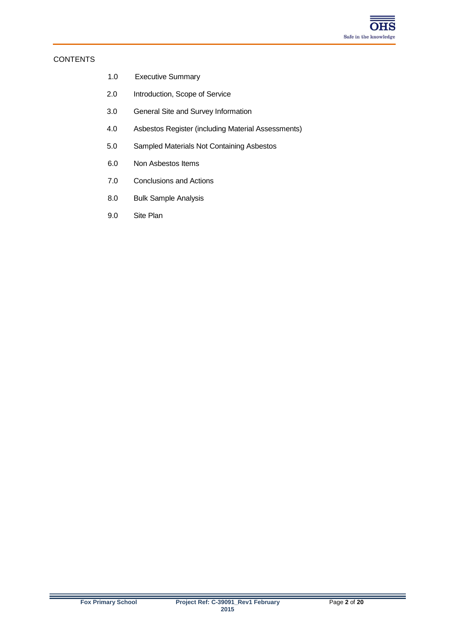

#### **CONTENTS**

- 1.0 Executive Summary
- 2.0 Introduction, Scope of Service
- 3.0 General Site and Survey Information
- 4.0 Asbestos Register (including Material Assessments)
- 5.0 Sampled Materials Not Containing Asbestos
- 6.0 Non Asbestos Items
- 7.0 Conclusions and Actions
- 8.0 Bulk Sample Analysis
- 9.0 Site Plan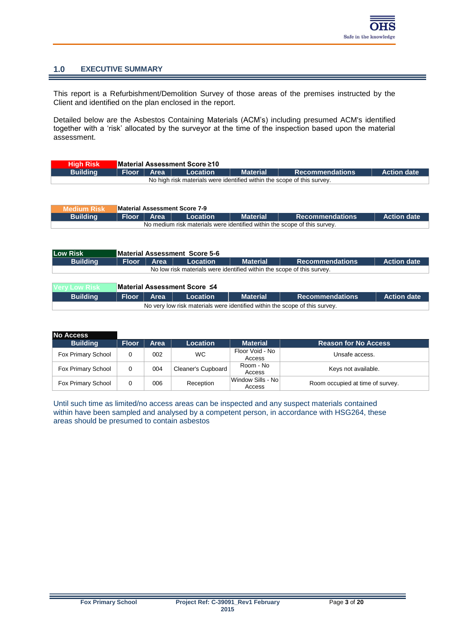## **1.0 EXECUTIVE SUMMARY**

This report is a Refurbishment/Demolition Survey of those areas of the premises instructed by the Client and identified on the plan enclosed in the report.

Detailed below are the Asbestos Containing Materials (ACM's) including presumed ACM's identified together with a 'risk' allocated by the surveyor at the time of the inspection based upon the material assessment.

| <b>High Risk</b>                                                        |  |              | ■ Material Assessment Score ≥10 |                 |                        |                    |  |
|-------------------------------------------------------------------------|--|--------------|---------------------------------|-----------------|------------------------|--------------------|--|
| <b>Building</b>                                                         |  | Floor   Area | Location                        | <b>Material</b> | <b>Recommendations</b> | <b>Action date</b> |  |
| No high risk materials were identified within the scope of this survey. |  |              |                                 |                 |                        |                    |  |

| <b>Medium Risk</b> |                                                                           |                      | Material Assessment Score 7-9 |                 |                        |                    |  |  |  |
|--------------------|---------------------------------------------------------------------------|----------------------|-------------------------------|-----------------|------------------------|--------------------|--|--|--|
| <b>Building</b>    |                                                                           | │ Floor │ Area │ │ │ | Location                      | <b>Material</b> | <b>Recommendations</b> | <b>Action date</b> |  |  |  |
|                    | No medium risk materials were identified within the scope of this survey. |                      |                               |                 |                        |                    |  |  |  |

| Low Risk                                                                    | Material Assessment Score 5-6                                          |      |                              |                 |                        |                    |  |  |  |  |
|-----------------------------------------------------------------------------|------------------------------------------------------------------------|------|------------------------------|-----------------|------------------------|--------------------|--|--|--|--|
| <b>Building</b>                                                             | <b>Floor</b>                                                           | Area | Location                     | <b>Material</b> | <b>Recommendations</b> | <b>Action date</b> |  |  |  |  |
|                                                                             | No low risk materials were identified within the scope of this survey. |      |                              |                 |                        |                    |  |  |  |  |
|                                                                             |                                                                        |      |                              |                 |                        |                    |  |  |  |  |
| <b>Very Low Risk</b>                                                        |                                                                        |      | Material Assessment Score ≤4 |                 |                        |                    |  |  |  |  |
| <b>Building</b>                                                             | <b>Floor</b>                                                           | Area | Location                     | <b>Material</b> | <b>Recommendations</b> | <b>Action date</b> |  |  |  |  |
| No very low risk materials were identified within the scope of this survey. |                                                                        |      |                              |                 |                        |                    |  |  |  |  |

| <b>No Access</b>   |              |      |                    |                               |                                  |
|--------------------|--------------|------|--------------------|-------------------------------|----------------------------------|
| <b>Building</b>    | <b>Floor</b> | Area | <b>Location</b>    | <b>Material</b>               | <b>Reason for No Access</b>      |
| Fox Primary School |              | 002  | WC.                | Floor Void - No<br>Access     | Unsafe access.                   |
| Fox Primary School | 0            | 004  | Cleaner's Cupboard | Room - No<br>Access           | Keys not available.              |
| Fox Primary School |              | 006  | Reception          | ∣Window Sills - No⊺<br>Access | Room occupied at time of survey. |

Until such time as limited/no access areas can be inspected and any suspect materials contained within have been sampled and analysed by a competent person, in accordance with HSG264, these areas should be presumed to contain asbestos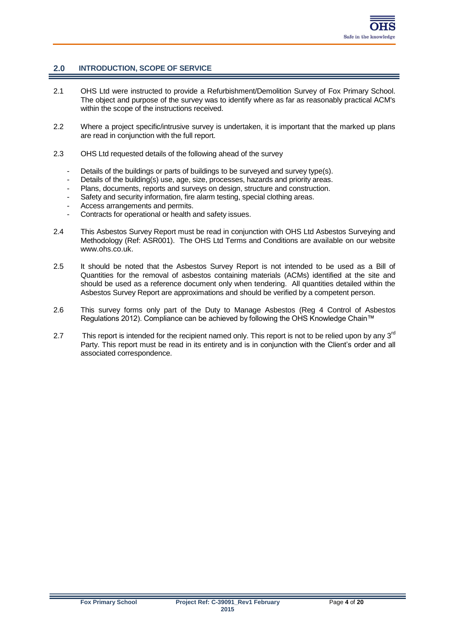## **2.0 INTRODUCTION, SCOPE OF SERVICE**

- 2.1 OHS Ltd were instructed to provide a Refurbishment/Demolition Survey of Fox Primary School. The object and purpose of the survey was to identify where as far as reasonably practical ACM's within the scope of the instructions received.
- 2.2 Where a project specific/intrusive survey is undertaken, it is important that the marked up plans are read in conjunction with the full report.
- 2.3 OHS Ltd requested details of the following ahead of the survey
	- Details of the buildings or parts of buildings to be surveyed and survey type(s).
	- Details of the building(s) use, age, size, processes, hazards and priority areas.
	- Plans, documents, reports and surveys on design, structure and construction.
	- Safety and security information, fire alarm testing, special clothing areas.
	- Access arrangements and permits.
	- Contracts for operational or health and safety issues.
- 2.4 This Asbestos Survey Report must be read in conjunction with OHS Ltd Asbestos Surveying and Methodology (Ref: ASR001). The OHS Ltd Terms and Conditions are available on our website www.ohs.co.uk.
- 2.5 It should be noted that the Asbestos Survey Report is not intended to be used as a Bill of Quantities for the removal of asbestos containing materials (ACMs) identified at the site and should be used as a reference document only when tendering. All quantities detailed within the Asbestos Survey Report are approximations and should be verified by a competent person.
- 2.6 This survey forms only part of the Duty to Manage Asbestos (Reg 4 Control of Asbestos Regulations 2012). Compliance can be achieved by following the OHS Knowledge Chain™
- 2.7 This report is intended for the recipient named only. This report is not to be relied upon by any 3<sup>rd</sup> Party. This report must be read in its entirety and is in conjunction with the Client's order and all associated correspondence.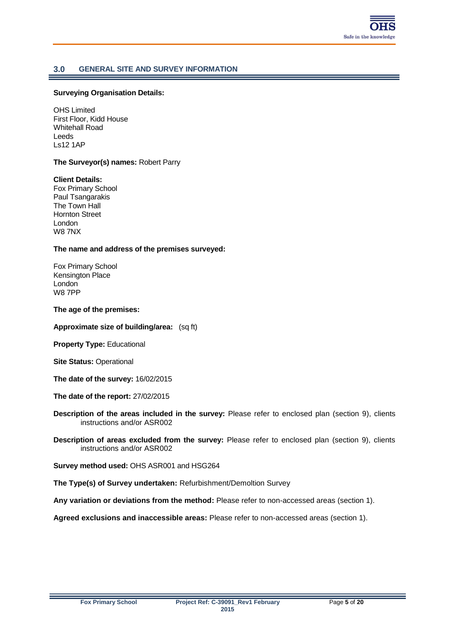

## **3.0 GENERAL SITE AND SURVEY INFORMATION**

#### **Surveying Organisation Details:**

OHS Limited First Floor, Kidd House Whitehall Road Leeds Ls12 1AP

#### **The Surveyor(s) names:** Robert Parry

#### **Client Details:**

Fox Primary School Paul Tsangarakis The Town Hall Hornton Street London W8 7NX

#### **The name and address of the premises surveyed:**

Fox Primary School Kensington Place London W8 7PP

#### **The age of the premises:**

**Approximate size of building/area:** (sq ft)

**Property Type:** Educational

**Site Status:** Operational

**The date of the survey:** 16/02/2015

**The date of the report:** 27/02/2015

**Description of the areas included in the survey:** Please refer to enclosed plan (section 9), clients instructions and/or ASR002

**Description of areas excluded from the survey:** Please refer to enclosed plan (section 9), clients instructions and/or ASR002

**Survey method used:** OHS ASR001 and HSG264

**The Type(s) of Survey undertaken:** Refurbishment/Demoltion Survey

**Any variation or deviations from the method:** Please refer to non-accessed areas (section 1).

**Agreed exclusions and inaccessible areas:** Please refer to non-accessed areas (section 1).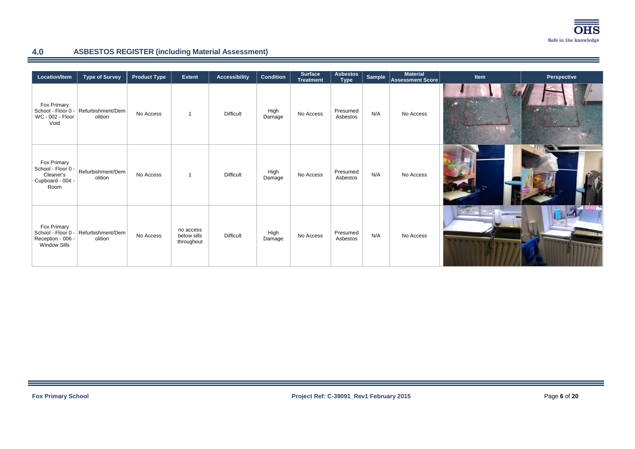

## **4.0 ASBESTOS REGISTER (including Material Assessment)**

| Location/Item                                                                 | <b>Type of Survey</b>                           | <b>Product Type</b> | <b>Extent</b>                          | <b>Accessibility</b> | <b>Condition</b> | <b>Surface</b><br><b>Treatment</b> | <b>Asbestos</b><br><b>Type</b> | Sample | <b>Material</b><br><b>Assessment Score</b> | Item | Perspective |
|-------------------------------------------------------------------------------|-------------------------------------------------|---------------------|----------------------------------------|----------------------|------------------|------------------------------------|--------------------------------|--------|--------------------------------------------|------|-------------|
| Fox Primary<br>WC - 002 - Floor<br>Void                                       | School - Floor 0 - Refurbishment/Dem<br>olition | No Access           |                                        | <b>Difficult</b>     | High<br>Damage   | No Access                          | Presumed<br>Asbestos           | N/A    | No Access                                  |      |             |
| Fox Primary<br>School - Floor 0 -<br>Cleaner's<br>Cupboard - 004 -<br>Room    | Refurbishment/Dem<br>olition                    | No Access           |                                        | <b>Difficult</b>     | High<br>Damage   | No Access                          | Presumed<br>Asbestos           | N/A    | No Access                                  |      |             |
| Fox Primary<br>School - Floor 0 -<br>Reception - 006 -<br><b>Window Sills</b> | Refurbishment/Dem<br>olition                    | No Access           | no access<br>below sills<br>throughout | <b>Difficult</b>     | High<br>Damage   | No Access                          | Presumed<br>Asbestos           | N/A    | No Access                                  |      | HHH         |

÷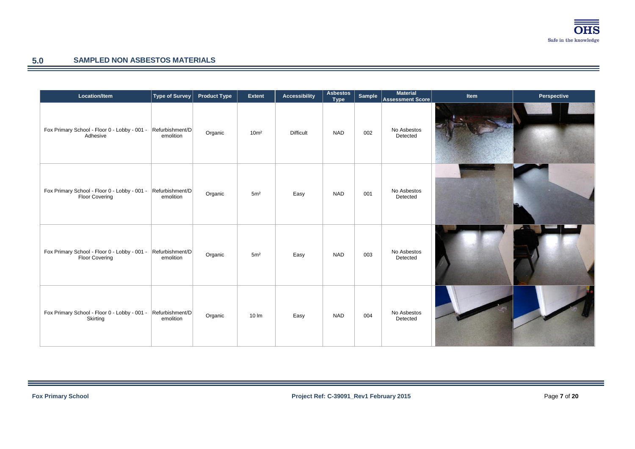

 $\equiv$ 

## **5.0 SAMPLED NON ASBESTOS MATERIALS**

| Location/Item                                                                  | Type of Survey               | <b>Product Type</b> | Extent            | <b>Accessibility</b> | <b>Asbestos</b><br><b>Type</b> | Sample | <b>Material</b><br>Assessment Score | Item | Perspective |
|--------------------------------------------------------------------------------|------------------------------|---------------------|-------------------|----------------------|--------------------------------|--------|-------------------------------------|------|-------------|
| Fox Primary School - Floor 0 - Lobby - 001 -<br>Adhesive                       | Refurbishment/D<br>emolition | Organic             | 10 <sup>m²</sup>  | <b>Difficult</b>     | <b>NAD</b>                     | 002    | No Asbestos<br>Detected             |      |             |
| Fox Primary School - Floor 0 - Lobby - 001 -<br>Floor Covering                 | Refurbishment/D<br>emolition | Organic             | 5 <sup>m²</sup>   | Easy                 | <b>NAD</b>                     | 001    | No Asbestos<br>Detected             |      |             |
| Fox Primary School - Floor 0 - Lobby - 001 - Refurbishment/D<br>Floor Covering | emolition                    | Organic             | 5m <sup>2</sup>   | Easy                 | <b>NAD</b>                     | 003    | No Asbestos<br>Detected             |      |             |
| Fox Primary School - Floor 0 - Lobby - 001 - Refurbishment/D<br>Skirting       | emolition                    | Organic             | $10 \, \text{Im}$ | Easy                 | <b>NAD</b>                     | 004    | No Asbestos<br>Detected             |      |             |

÷.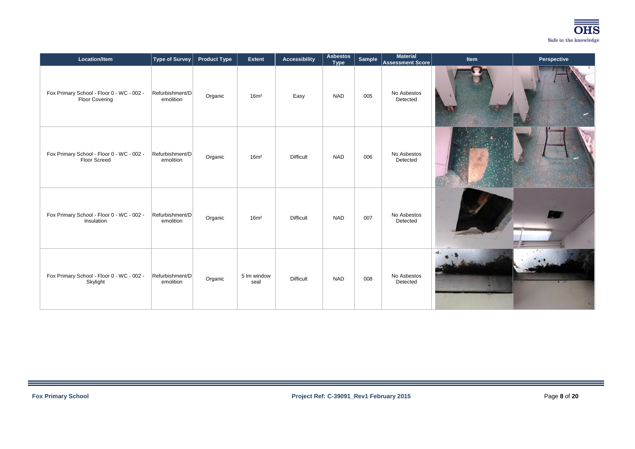

| Location/Item                                                      | <b>Type of Survey</b>        | <b>Product Type</b> | Extent              | <b>Accessibility</b> | <b>Asbestos</b><br><b>Type</b> | Sample | <b>Material</b><br><b>Assessment Score</b> | Item | Perspective |
|--------------------------------------------------------------------|------------------------------|---------------------|---------------------|----------------------|--------------------------------|--------|--------------------------------------------|------|-------------|
| Fox Primary School - Floor 0 - WC - 002 -<br><b>Floor Covering</b> | Refurbishment/D<br>emolition | Organic             | 16m <sup>2</sup>    | Easy                 | <b>NAD</b>                     | 005    | No Asbestos<br>Detected                    |      |             |
| Fox Primary School - Floor 0 - WC - 002 -<br>Floor Screed          | Refurbishment/D<br>emolition | Organic             | 16m <sup>2</sup>    | <b>Difficult</b>     | <b>NAD</b>                     | 006    | No Asbestos<br>Detected                    |      |             |
| Fox Primary School - Floor 0 - WC - 002 -<br>Insulation            | Refurbishment/D<br>emolition | Organic             | 16m <sup>2</sup>    | <b>Difficult</b>     | <b>NAD</b>                     | 007    | No Asbestos<br>Detected                    |      |             |
| Fox Primary School - Floor 0 - WC - 002 -<br>Skylight              | Refurbishment/D<br>emolition | Organic             | 5 lm window<br>seal | <b>Difficult</b>     | <b>NAD</b>                     | 008    | No Asbestos<br>Detected                    |      |             |

<u> Espainia</u>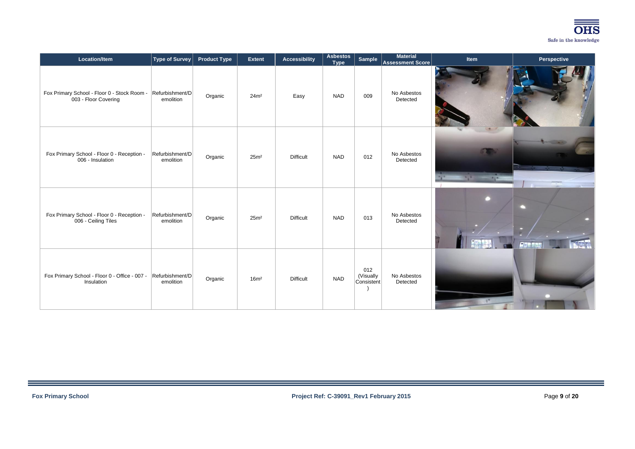

| Location/Item                                                               | <b>Type of Survey</b>        | <b>Product Type</b> | <b>Extent</b>    | <b>Accessibility</b> | <b>Asbestos</b><br><b>Type</b> | Sample                         | <b>Material</b><br>Assessment Score | Item                          | Perspective       |
|-----------------------------------------------------------------------------|------------------------------|---------------------|------------------|----------------------|--------------------------------|--------------------------------|-------------------------------------|-------------------------------|-------------------|
| Fox Primary School - Floor 0 - Stock Room -<br>003 - Floor Covering         | Refurbishment/D<br>emolition | Organic             | 24m <sup>2</sup> | Easy                 | <b>NAD</b>                     | 009                            | No Asbestos<br>Detected             |                               |                   |
| Fox Primary School - Floor 0 - Reception -<br>006 - Insulation              | Refurbishment/D<br>emolition | Organic             | 25m <sup>2</sup> | <b>Difficult</b>     | <b>NAD</b>                     | 012                            | No Asbestos<br>Detected             | $\mathbb{Z}$<br>$\frac{1}{2}$ |                   |
| Fox Primary School - Floor 0 - Reception -<br>006 - Ceiling Tiles           | Refurbishment/D<br>emolition | Organic             | 25m <sup>2</sup> | <b>Difficult</b>     | <b>NAD</b>                     | 013                            | No Asbestos<br>Detected             |                               | $\tau$ and $\tau$ |
| Fox Primary School - Floor 0 - Office - 007 - Refurbishment/D<br>Insulation | emolition                    | Organic             | 16m <sup>2</sup> | <b>Difficult</b>     | <b>NAD</b>                     | 012<br>(Visually<br>Consistent | No Asbestos<br>Detected             |                               |                   |

<u> Espainia</u>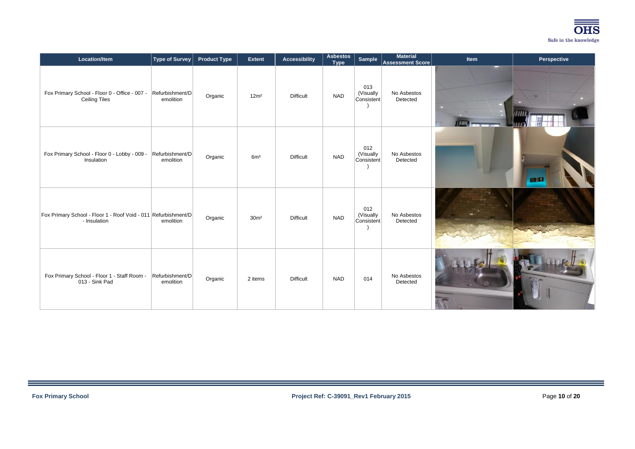

| Location/Item                                                                  | Type of Survey               | <b>Product Type</b> | <b>Extent</b>    | <b>Accessibility</b> | <b>Asbestos</b><br><b>Type</b> | Sample                         | <b>Material</b><br>Assessment Score | Item | Perspective |
|--------------------------------------------------------------------------------|------------------------------|---------------------|------------------|----------------------|--------------------------------|--------------------------------|-------------------------------------|------|-------------|
| Fox Primary School - Floor 0 - Office - 007 -<br><b>Ceiling Tiles</b>          | Refurbishment/D<br>emolition | Organic             | 12m <sup>2</sup> | <b>Difficult</b>     | <b>NAD</b>                     | 013<br>(Visually<br>Consistent | No Asbestos<br>Detected             |      |             |
| Fox Primary School - Floor 0 - Lobby - 009 -<br>Insulation                     | Refurbishment/D<br>emolition | Organic             | 6m <sup>2</sup>  | <b>Difficult</b>     | <b>NAD</b>                     | 012<br>(Visually<br>Consistent | No Asbestos<br>Detected             |      | 四位          |
| Fox Primary School - Floor 1 - Roof Void - 011 Refurbishment/D<br>- Insulation | emolition                    | Organic             | 30 <sup>m²</sup> | <b>Difficult</b>     | <b>NAD</b>                     | 012<br>(Visually<br>Consistent | No Asbestos<br>Detected             |      |             |
| Fox Primary School - Floor 1 - Staff Room -<br>013 - Sink Pad                  | Refurbishment/D<br>emolition | Organic             | 2 items          | <b>Difficult</b>     | <b>NAD</b>                     | 014                            | No Asbestos<br>Detected             |      |             |

<u> Espainia</u>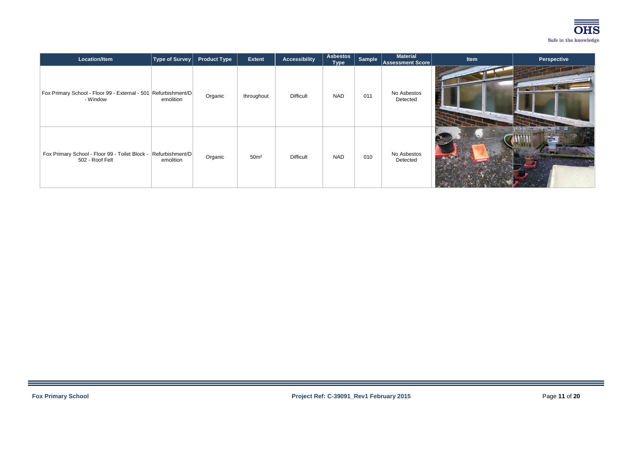

| Location/Item                                                                     | Type of Survey | <b>Product Type</b> | <b>Extent</b>    | <b>Accessibility</b> | <b>Asbestos</b><br>Type | Sample | <b>Material</b><br>Assessment Score | <b>Item</b> | Perspective |
|-----------------------------------------------------------------------------------|----------------|---------------------|------------------|----------------------|-------------------------|--------|-------------------------------------|-------------|-------------|
| Fox Primary School - Floor 99 - External - 501   Refurbishment/D  <br>- Window    | emolition      | Organic             | throughout       | <b>Difficult</b>     | NAD                     | 011    | No Asbestos<br>Detected             |             |             |
| Fox Primary School - Floor 99 - Toilet Block - Refurbishment/D<br>502 - Roof Felt | emolition      | Organic             | 50 <sup>m²</sup> | <b>Difficult</b>     | <b>NAD</b>              | 010    | No Asbestos<br>Detected             |             |             |

<u> Terminal de la p</u>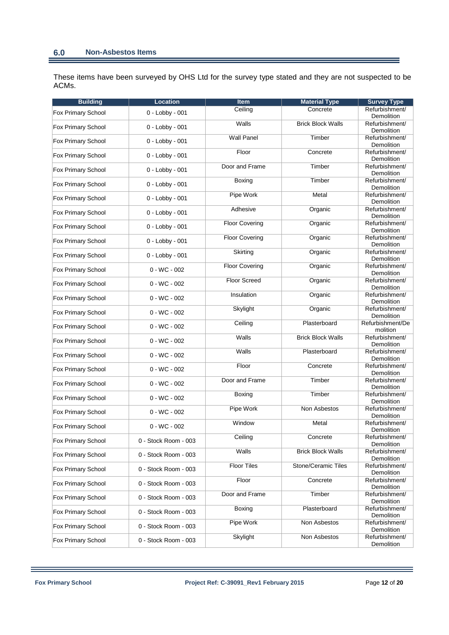These items have been surveyed by OHS Ltd for the survey type stated and they are not suspected to be ACMs.

| <b>Building</b>    | <b>Location</b>      | Item                  | <b>Material Type</b>     | <b>Survey Type</b>             |
|--------------------|----------------------|-----------------------|--------------------------|--------------------------------|
| Fox Primary School | 0 - Lobby - 001      | Ceiling               | Concrete                 | Refurbishment/<br>Demolition   |
| Fox Primary School | 0 - Lobby - 001      | Walls                 | <b>Brick Block Walls</b> | Refurbishment/<br>Demolition   |
| Fox Primary School | 0 - Lobby - 001      | <b>Wall Panel</b>     | Timber                   | Refurbishment/<br>Demolition   |
| Fox Primary School | 0 - Lobby - 001      | Floor                 | Concrete                 | Refurbishment/<br>Demolition   |
| Fox Primary School | 0 - Lobby - 001      | Door and Frame        | Timber                   | Refurbishment/<br>Demolition   |
| Fox Primary School | 0 - Lobby - 001      | Boxing                | Timber                   | Refurbishment/<br>Demolition   |
| Fox Primary School | 0 - Lobby - 001      | Pipe Work             | Metal                    | Refurbishment/<br>Demolition   |
| Fox Primary School | 0 - Lobby - 001      | Adhesive              | Organic                  | Refurbishment/<br>Demolition   |
| Fox Primary School | 0 - Lobby - 001      | <b>Floor Covering</b> | Organic                  | Refurbishment/                 |
| Fox Primary School | 0 - Lobby - 001      | <b>Floor Covering</b> | Organic                  | Demolition<br>Refurbishment/   |
| Fox Primary School | 0 - Lobby - 001      | Skirting              | Organic                  | Demolition<br>Refurbishment/   |
| Fox Primary School | $0 - WC - 002$       | <b>Floor Covering</b> | Organic                  | Demolition<br>Refurbishment/   |
| Fox Primary School | $0 - WC - 002$       | <b>Floor Screed</b>   | Organic                  | Demolition<br>Refurbishment/   |
| Fox Primary School | $0 - WC - 002$       | Insulation            | Organic                  | Demolition<br>Refurbishment/   |
| Fox Primary School | $0 - WC - 002$       | Skylight              | Organic                  | Demolition<br>Refurbishment/   |
| Fox Primary School | $0 - WC - 002$       | Ceiling               | Plasterboard             | Demolition<br>Refurbishment/De |
| Fox Primary School | $0 - WC - 002$       | Walls                 | <b>Brick Block Walls</b> | molition<br>Refurbishment/     |
| Fox Primary School | $0 - WC - 002$       | Walls                 | Plasterboard             | Demolition<br>Refurbishment/   |
| Fox Primary School | $0 - WC - 002$       | Floor                 | Concrete                 | Demolition<br>Refurbishment/   |
| Fox Primary School | $0 - WC - 002$       | Door and Frame        | Timber                   | Demolition<br>Refurbishment/   |
|                    |                      | Boxing                | Timber                   | Demolition<br>Refurbishment/   |
| Fox Primary School | $0 - WC - 002$       | Pipe Work             | Non Asbestos             | Demolition<br>Refurbishment/   |
| Fox Primary School | $0 - WC - 002$       | Window                | Metal                    | Demolition<br>Refurbishment/   |
| Fox Primary School | $0 - WC - 002$       |                       |                          | Demolition                     |
| Fox Primary School | 0 - Stock Room - 003 | Ceiling               | Concrete                 | Refurbishment/<br>Demolition   |
| Fox Primary School | 0 - Stock Room - 003 | Walls                 | <b>Brick Block Walls</b> | Refurbishment/<br>Demolition   |
| Fox Primary School | 0 - Stock Room - 003 | <b>Floor Tiles</b>    | Stone/Ceramic Tiles      | Refurbishment/<br>Demolition   |
| Fox Primary School | 0 - Stock Room - 003 | Floor                 | Concrete                 | Refurbishment/<br>Demolition   |
| Fox Primary School | 0 - Stock Room - 003 | Door and Frame        | Timber                   | Refurbishment/<br>Demolition   |
| Fox Primary School | 0 - Stock Room - 003 | Boxing                | Plasterboard             | Refurbishment/<br>Demolition   |
| Fox Primary School | 0 - Stock Room - 003 | Pipe Work             | Non Asbestos             | Refurbishment/<br>Demolition   |
| Fox Primary School | 0 - Stock Room - 003 | Skylight              | Non Asbestos             | Refurbishment/<br>Demolition   |

Ξ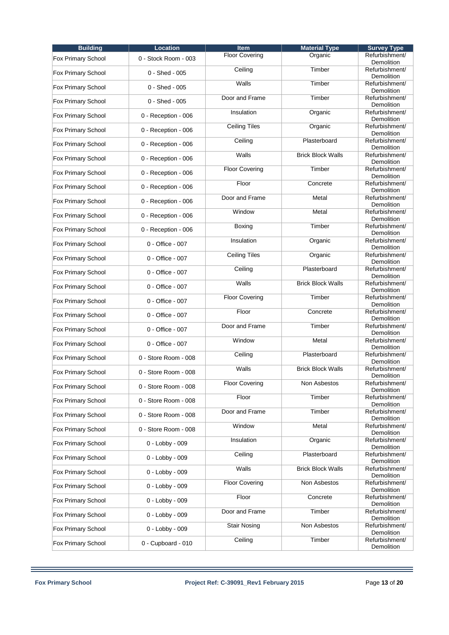| <b>Building</b>           | <b>Location</b>      | <b>Item</b>           | <b>Material Type</b>     | <b>Survey Type</b>                  |
|---------------------------|----------------------|-----------------------|--------------------------|-------------------------------------|
| Fox Primary School        | 0 - Stock Room - 003 | <b>Floor Covering</b> | Organic                  | Refurbishment/<br>Demolition        |
| <b>Fox Primary School</b> | 0 - Shed - 005       | Ceiling               | Timber                   | Refurbishment/<br>Demolition        |
| Fox Primary School        | 0 - Shed - 005       | Walls                 | Timber                   | Refurbishment/<br>Demolition        |
| Fox Primary School        | 0 - Shed - 005       | Door and Frame        | Timber                   | Refurbishment/<br>Demolition        |
| <b>Fox Primary School</b> | 0 - Reception - 006  | Insulation            | Organic                  | Refurbishment/<br>Demolition        |
| <b>Fox Primary School</b> | 0 - Reception - 006  | <b>Ceiling Tiles</b>  | Organic                  | Refurbishment/<br><b>Demolition</b> |
| <b>Fox Primary School</b> | 0 - Reception - 006  | Ceiling               | Plasterboard             | Refurbishment/<br>Demolition        |
| <b>Fox Primary School</b> | 0 - Reception - 006  | Walls                 | <b>Brick Block Walls</b> | Refurbishment/<br>Demolition        |
| Fox Primary School        | 0 - Reception - 006  | <b>Floor Covering</b> | Timber                   | Refurbishment/<br>Demolition        |
| Fox Primary School        | 0 - Reception - 006  | Floor                 | Concrete                 | Refurbishment/<br>Demolition        |
| <b>Fox Primary School</b> | 0 - Reception - 006  | Door and Frame        | Metal                    | Refurbishment/<br>Demolition        |
| <b>Fox Primary School</b> | 0 - Reception - 006  | Window                | Metal                    | Refurbishment/<br><b>Demolition</b> |
| <b>Fox Primary School</b> | 0 - Reception - 006  | Boxing                | Timber                   | Refurbishment/<br>Demolition        |
| Fox Primary School        | 0 - Office - 007     | Insulation            | Organic                  | Refurbishment/<br>Demolition        |
| Fox Primary School        | 0 - Office - 007     | <b>Ceiling Tiles</b>  | Organic                  | Refurbishment/<br>Demolition        |
| <b>Fox Primary School</b> | 0 - Office - 007     | Ceiling               | Plasterboard             | Refurbishment/<br>Demolition        |
| Fox Primary School        | 0 - Office - 007     | Walls                 | <b>Brick Block Walls</b> | Refurbishment/<br><b>Demolition</b> |
| <b>Fox Primary School</b> | 0 - Office - 007     | <b>Floor Covering</b> | Timber                   | Refurbishment/<br>Demolition        |
| Fox Primary School        | 0 - Office - 007     | Floor                 | Concrete                 | Refurbishment/<br>Demolition        |
| Fox Primary School        | 0 - Office - 007     | Door and Frame        | Timber                   | Refurbishment/<br>Demolition        |
| <b>Fox Primary School</b> | 0 - Office - 007     | Window                | Metal                    | Refurbishment/<br>Demolition        |
| Fox Primary School        | 0 - Store Room - 008 | Ceiling               | Plasterboard             | Refurbishment/<br>Demolition        |
| Fox Primary School        | 0 - Store Room - 008 | Walls                 | <b>Brick Block Walls</b> | Refurbishment/<br>Demolition        |
| Fox Primary School        | 0 - Store Room - 008 | <b>Floor Covering</b> | Non Asbestos             | Refurbishment/<br>Demolition        |
| Fox Primary School        | 0 - Store Room - 008 | Floor                 | Timber                   | Refurbishment/<br><b>Demolition</b> |
| Fox Primary School        | 0 - Store Room - 008 | Door and Frame        | Timber                   | Refurbishment/<br>Demolition        |
| <b>Fox Primary School</b> | 0 - Store Room - 008 | Window                | Metal                    | Refurbishment/<br>Demolition        |
| Fox Primary School        | 0 - Lobby - 009      | Insulation            | Organic                  | Refurbishment/<br><b>Demolition</b> |
| Fox Primary School        | 0 - Lobby - 009      | Ceiling               | Plasterboard             | Refurbishment/<br>Demolition        |
| Fox Primary School        | 0 - Lobby - 009      | Walls                 | <b>Brick Block Walls</b> | Refurbishment/<br>Demolition        |
| Fox Primary School        | 0 - Lobby - 009      | <b>Floor Covering</b> | Non Asbestos             | Refurbishment/<br>Demolition        |
| <b>Fox Primary School</b> | 0 - Lobby - 009      | Floor                 | Concrete                 | Refurbishment/<br>Demolition        |
| <b>Fox Primary School</b> | 0 - Lobby - 009      | Door and Frame        | Timber                   | Refurbishment/<br>Demolition        |
| Fox Primary School        | 0 - Lobby - 009      | <b>Stair Nosing</b>   | Non Asbestos             | Refurbishment/<br>Demolition        |
| Fox Primary School        | 0 - Cupboard - 010   | Ceiling               | Timber                   | Refurbishment/<br>Demolition        |
|                           |                      |                       |                          |                                     |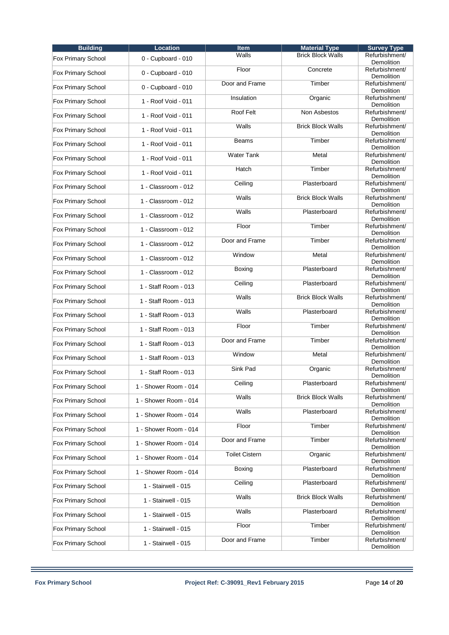| <b>Building</b>           | <b>Location</b>       | <b>Item</b>           | <b>Material Type</b>     | <b>Survey Type</b>                  |
|---------------------------|-----------------------|-----------------------|--------------------------|-------------------------------------|
| Fox Primary School        | 0 - Cupboard - 010    | Walls                 | <b>Brick Block Walls</b> | Refurbishment/<br>Demolition        |
| Fox Primary School        | 0 - Cupboard - 010    | Floor                 | Concrete                 | Refurbishment/<br>Demolition        |
| Fox Primary School        | 0 - Cupboard - 010    | Door and Frame        | Timber                   | Refurbishment/<br>Demolition        |
| Fox Primary School        | 1 - Roof Void - 011   | Insulation            | Organic                  | Refurbishment/<br>Demolition        |
| <b>Fox Primary School</b> | 1 - Roof Void - 011   | Roof Felt             | Non Asbestos             | Refurbishment/<br>Demolition        |
| Fox Primary School        | 1 - Roof Void - 011   | Walls                 | <b>Brick Block Walls</b> | Refurbishment/<br><b>Demolition</b> |
| <b>Fox Primary School</b> | 1 - Roof Void - 011   | <b>Beams</b>          | Timber                   | Refurbishment/<br>Demolition        |
| Fox Primary School        | 1 - Roof Void - 011   | <b>Water Tank</b>     | Metal                    | Refurbishment/<br>Demolition        |
| Fox Primary School        | 1 - Roof Void - 011   | Hatch                 | Timber                   | Refurbishment/<br>Demolition        |
| Fox Primary School        | 1 - Classroom - 012   | Ceiling               | Plasterboard             | Refurbishment/<br>Demolition        |
| Fox Primary School        | 1 - Classroom - 012   | Walls                 | <b>Brick Block Walls</b> | Refurbishment/<br>Demolition        |
| <b>Fox Primary School</b> | 1 - Classroom - 012   | Walls                 | Plasterboard             | Refurbishment/<br>Demolition        |
| <b>Fox Primary School</b> | 1 - Classroom - 012   | Floor                 | Timber                   | Refurbishment/<br>Demolition        |
| Fox Primary School        | 1 - Classroom - 012   | Door and Frame        | Timber                   | Refurbishment/<br>Demolition        |
| Fox Primary School        | 1 - Classroom - 012   | Window                | Metal                    | Refurbishment/<br>Demolition        |
| <b>Fox Primary School</b> | 1 - Classroom - 012   | Boxing                | Plasterboard             | Refurbishment/<br>Demolition        |
| Fox Primary School        | 1 - Staff Room - 013  | Ceiling               | Plasterboard             | Refurbishment/<br>Demolition        |
| <b>Fox Primary School</b> | 1 - Staff Room - 013  | Walls                 | <b>Brick Block Walls</b> | Refurbishment/<br>Demolition        |
| Fox Primary School        | 1 - Staff Room - 013  | Walls                 | Plasterboard             | Refurbishment/<br>Demolition        |
| Fox Primary School        | 1 - Staff Room - 013  | Floor                 | Timber                   | Refurbishment/<br>Demolition        |
| Fox Primary School        | 1 - Staff Room - 013  | Door and Frame        | Timber                   | Refurbishment/<br>Demolition        |
| Fox Primary School        | 1 - Staff Room - 013  | Window                | Metal                    | Refurbishment/<br>Demolition        |
| Fox Primary School        | 1 - Staff Room - 013  | Sink Pad              | Organic                  | Refurbishment/<br>Demolition        |
| Fox Primary School        | 1 - Shower Room - 014 | Ceiling               | Plasterboard             | Refurbishment/<br>Demolition        |
| Fox Primary School        | 1 - Shower Room - 014 | Walls                 | <b>Brick Block Walls</b> | Refurbishment/<br>Demolition        |
| Fox Primary School        | 1 - Shower Room - 014 | Walls                 | Plasterboard             | Refurbishment/<br>Demolition        |
| <b>Fox Primary School</b> | 1 - Shower Room - 014 | Floor                 | Timber                   | Refurbishment/<br>Demolition        |
| Fox Primary School        | 1 - Shower Room - 014 | Door and Frame        | Timber                   | Refurbishment/<br>Demolition        |
| Fox Primary School        | 1 - Shower Room - 014 | <b>Toilet Cistern</b> | Organic                  | Refurbishment/<br>Demolition        |
| Fox Primary School        | 1 - Shower Room - 014 | Boxing                | Plasterboard             | Refurbishment/<br>Demolition        |
| Fox Primary School        | 1 - Stairwell - 015   | Ceiling               | Plasterboard             | Refurbishment/<br>Demolition        |
| Fox Primary School        | 1 - Stairwell - 015   | Walls                 | <b>Brick Block Walls</b> | Refurbishment/<br>Demolition        |
| <b>Fox Primary School</b> | 1 - Stairwell - 015   | Walls                 | Plasterboard             | Refurbishment/<br>Demolition        |
| Fox Primary School        | 1 - Stairwell - 015   | Floor                 | Timber                   | Refurbishment/<br>Demolition        |
| Fox Primary School        | 1 - Stairwell - 015   | Door and Frame        | Timber                   | Refurbishment/<br>Demolition        |
|                           |                       |                       |                          |                                     |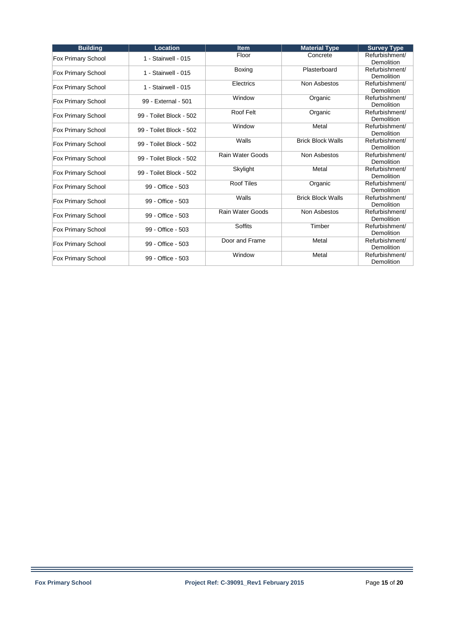| <b>Building</b>           | <b>Location</b>         | <b>Item</b>             | <b>Material Type</b>     | <b>Survey Type</b>                  |
|---------------------------|-------------------------|-------------------------|--------------------------|-------------------------------------|
| Fox Primary School        | 1 - Stairwell - 015     | Floor                   | Concrete                 | Refurbishment/<br><b>Demolition</b> |
| Fox Primary School        | 1 - Stairwell - 015     | Boxing                  | Plasterboard             | Refurbishment/<br>Demolition        |
| Fox Primary School        | 1 - Stairwell - 015     | Electrics               | Non Asbestos             | Refurbishment/<br><b>Demolition</b> |
| Fox Primary School        | 99 - External - 501     | Window                  | Organic                  | Refurbishment/<br>Demolition        |
| Fox Primary School        | 99 - Toilet Block - 502 | Roof Felt               | Organic                  | Refurbishment/<br>Demolition        |
| Fox Primary School        | 99 - Toilet Block - 502 | Window                  | Metal                    | Refurbishment/<br>Demolition        |
| Fox Primary School        | 99 - Toilet Block - 502 | Walls                   | <b>Brick Block Walls</b> | Refurbishment/<br>Demolition        |
| <b>Fox Primary School</b> | 99 - Toilet Block - 502 | Rain Water Goods        | Non Asbestos             | Refurbishment/<br>Demolition        |
| Fox Primary School        | 99 - Toilet Block - 502 | Skylight                | Metal                    | Refurbishment/<br>Demolition        |
| Fox Primary School        | 99 - Office - 503       | <b>Roof Tiles</b>       | Organic                  | Refurbishment/<br>Demolition        |
| Fox Primary School        | 99 - Office - 503       | Walls                   | <b>Brick Block Walls</b> | Refurbishment/<br>Demolition        |
| Fox Primary School        | 99 - Office - 503       | <b>Rain Water Goods</b> | Non Asbestos             | Refurbishment/<br>Demolition        |
| Fox Primary School        | 99 - Office - 503       | <b>Soffits</b>          | Timber                   | Refurbishment/<br>Demolition        |
| Fox Primary School        | 99 - Office - 503       | Door and Frame          | Metal                    | Refurbishment/<br>Demolition        |
| Fox Primary School        | 99 - Office - 503       | Window                  | Metal                    | Refurbishment/<br>Demolition        |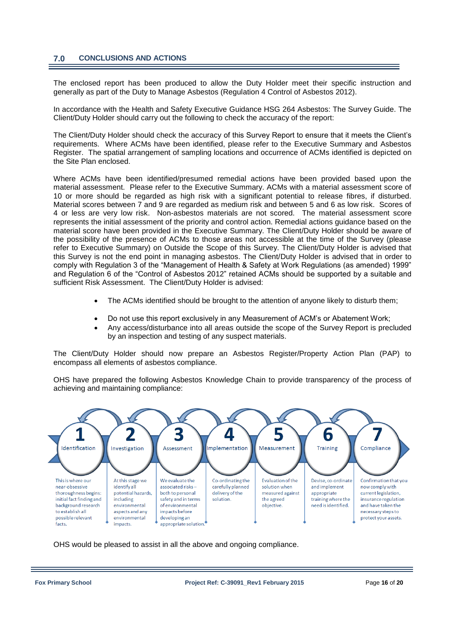### **7.0 CONCLUSIONS AND ACTIONS**

The enclosed report has been produced to allow the Duty Holder meet their specific instruction and generally as part of the Duty to Manage Asbestos (Regulation 4 Control of Asbestos 2012).

In accordance with the Health and Safety Executive Guidance HSG 264 Asbestos: The Survey Guide. The Client/Duty Holder should carry out the following to check the accuracy of the report:

The Client/Duty Holder should check the accuracy of this Survey Report to ensure that it meets the Client's requirements. Where ACMs have been identified, please refer to the Executive Summary and Asbestos Register. The spatial arrangement of sampling locations and occurrence of ACMs identified is depicted on the Site Plan enclosed.

Where ACMs have been identified/presumed remedial actions have been provided based upon the material assessment. Please refer to the Executive Summary. ACMs with a material assessment score of 10 or more should be regarded as high risk with a significant potential to release fibres, if disturbed. Material scores between 7 and 9 are regarded as medium risk and between 5 and 6 as low risk. Scores of 4 or less are very low risk. Non-asbestos materials are not scored. The material assessment score represents the initial assessment of the priority and control action. Remedial actions guidance based on the material score have been provided in the Executive Summary. The Client/Duty Holder should be aware of the possibility of the presence of ACMs to those areas not accessible at the time of the Survey (please refer to Executive Summary) on Outside the Scope of this Survey. The Client/Duty Holder is advised that this Survey is not the end point in managing asbestos. The Client/Duty Holder is advised that in order to comply with Regulation 3 of the "Management of Health & Safety at Work Regulations (as amended) 1999" and Regulation 6 of the "Control of Asbestos 2012" retained ACMs should be supported by a suitable and sufficient Risk Assessment. The Client/Duty Holder is advised:

- The ACMs identified should be brought to the attention of anyone likely to disturb them;
- Do not use this report exclusively in any Measurement of ACM's or Abatement Work;
- Any access/disturbance into all areas outside the scope of the Survey Report is precluded by an inspection and testing of any suspect materials.

The Client/Duty Holder should now prepare an Asbestos Register/Property Action Plan (PAP) to encompass all elements of asbestos compliance.

OHS have prepared the following Asbestos Knowledge Chain to provide transparency of the process of achieving and maintaining compliance:



OHS would be pleased to assist in all the above and ongoing compliance.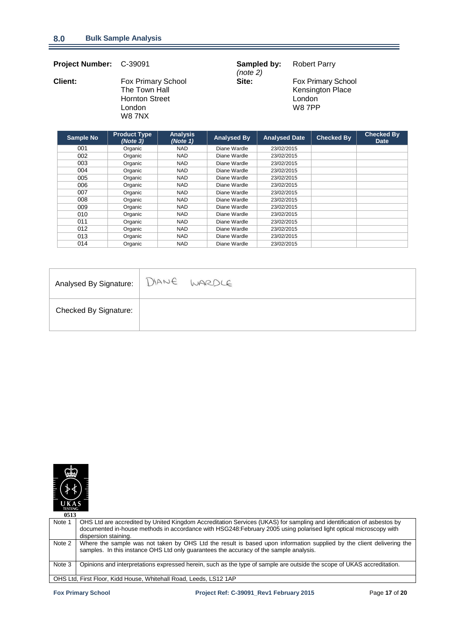| <b>Project Number:</b> | C-39091                                                                                 |                             | Sampled by:<br>(note 2) |                      | <b>Robert Parry</b>     |                                               |                                  |
|------------------------|-----------------------------------------------------------------------------------------|-----------------------------|-------------------------|----------------------|-------------------------|-----------------------------------------------|----------------------------------|
| <b>Client:</b>         | Fox Primary School<br>The Town Hall<br><b>Hornton Street</b><br>London<br><b>W8 7NX</b> |                             | Site:                   |                      | London<br><b>W8 7PP</b> | <b>Fox Primary School</b><br>Kensington Place |                                  |
| <b>Sample No</b>       | <b>Product Type</b><br>(Note 3)                                                         | <b>Analysis</b><br>(Note 1) | <b>Analysed By</b>      | <b>Analysed Date</b> |                         | <b>Checked By</b>                             | <b>Checked By</b><br><b>Date</b> |

| <b>Uallipic ITU</b> | (Note 3) | (Note 1)   | Allaryouu Dy | <b>Allaryouu Dalu</b> | <b>Officency</b> Dy | <b>Date</b> |
|---------------------|----------|------------|--------------|-----------------------|---------------------|-------------|
| 001                 | Organic  | <b>NAD</b> | Diane Wardle | 23/02/2015            |                     |             |
| 002                 | Organic  | <b>NAD</b> | Diane Wardle | 23/02/2015            |                     |             |
| 003                 | Organic  | <b>NAD</b> | Diane Wardle | 23/02/2015            |                     |             |
| 004                 | Organic  | <b>NAD</b> | Diane Wardle | 23/02/2015            |                     |             |
| 005                 | Organic  | <b>NAD</b> | Diane Wardle | 23/02/2015            |                     |             |
| 006                 | Organic  | <b>NAD</b> | Diane Wardle | 23/02/2015            |                     |             |
| 007                 | Organic  | <b>NAD</b> | Diane Wardle | 23/02/2015            |                     |             |
| 008                 | Organic  | <b>NAD</b> | Diane Wardle | 23/02/2015            |                     |             |
| 009                 | Organic  | <b>NAD</b> | Diane Wardle | 23/02/2015            |                     |             |
| 010                 | Organic  | <b>NAD</b> | Diane Wardle | 23/02/2015            |                     |             |
| 011                 | Organic  | <b>NAD</b> | Diane Wardle | 23/02/2015            |                     |             |
| 012                 | Organic  | <b>NAD</b> | Diane Wardle | 23/02/2015            |                     |             |
| 013                 | Organic  | <b>NAD</b> | Diane Wardle | 23/02/2015            |                     |             |
| 014                 | Organic  | <b>NAD</b> | Diane Wardle | 23/02/2015            |                     |             |

| Analysed By Signature:   DIANE WARDLE |  |
|---------------------------------------|--|
| <b>Checked By Signature:</b>          |  |



| 0513   |                                                                                                                                                                                                                                                                    |
|--------|--------------------------------------------------------------------------------------------------------------------------------------------------------------------------------------------------------------------------------------------------------------------|
| Note 1 | OHS Ltd are accredited by United Kingdom Accreditation Services (UKAS) for sampling and identification of asbestos by<br>documented in-house methods in accordance with HSG248:February 2005 using polarised light optical microscopy with<br>dispersion staining. |
| Note 2 | Where the sample was not taken by OHS Ltd the result is based upon information supplied by the client delivering the<br>samples. In this instance OHS Ltd only quarantees the accuracy of the sample analysis.                                                     |
| Note 3 | Opinions and interpretations expressed herein, such as the type of sample are outside the scope of UKAS accreditation.                                                                                                                                             |
|        | OHS Ltd, First Floor, Kidd House, Whitehall Road, Leeds, LS12 1AP                                                                                                                                                                                                  |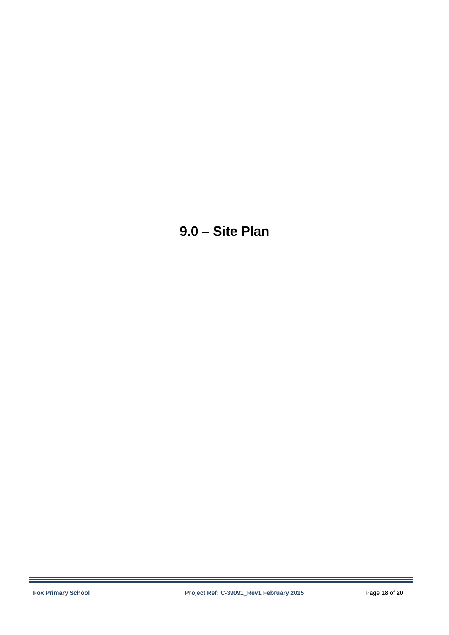# **9.0 – Site Plan**

÷,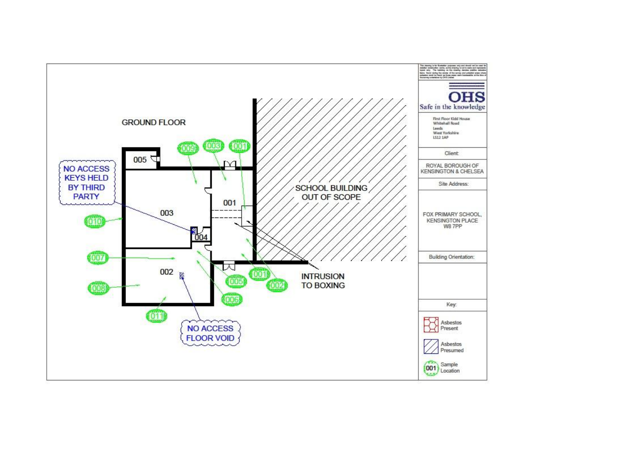